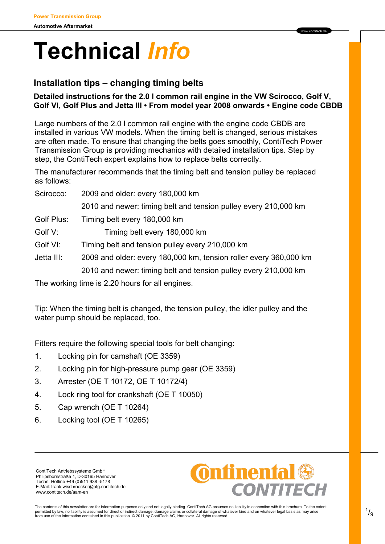# **Technical** *Info*

# **Installation tips – changing timing belts**

#### **Detailed instructions for the 2.0 l common rail engine in the VW Scirocco, Golf V, Golf VI, Golf Plus and Jetta III • From model year 2008 onwards • Engine code CBDB**

www contitech de

Large numbers of the 2.0 l common rail engine with the engine code CBDB are installed in various VW models. When the timing belt is changed, serious mistakes are often made. To ensure that changing the belts goes smoothly, ContiTech Power Transmission Group is providing mechanics with detailed installation tips. Step by step, the ContiTech expert explains how to replace belts correctly.

The manufacturer recommends that the timing belt and tension pulley be replaced as follows:

Scirocco: 2009 and older: every 180,000 km 2010 and newer: timing belt and tension pulley every 210,000 km

Golf Plus: Timing belt every 180,000 km

- Golf V: Timing belt every 180,000 km
- Golf VI: Timing belt and tension pulley every 210,000 km
- Jetta III: 2009 and older: every 180,000 km, tension roller every 360,000 km

2010 and newer: timing belt and tension pulley every 210,000 km

The working time is 2.20 hours for all engines.

Tip: When the timing belt is changed, the tension pulley, the idler pulley and the water pump should be replaced, too.

Fitters require the following special tools for belt changing:

- 1. Locking pin for camshaft (OE 3359)
- 2. Locking pin for high-pressure pump gear (OE 3359)
- 3. Arrester (OE T 10172, OE T 10172/4)
- 4. Lock ring tool for crankshaft (OE T 10050)
- 5. Cap wrench (OE T 10264)
- 6. Locking tool (OE T 10265)

ContiTech Antriebssysteme GmbH Philipsbornstraße 1, D-30165 Hannover Techn. Hotline +49 (0)511 938 -5178 E-Mail: frank.wissbroecker@ptg.contitech.de www.contitech.de/aam-en



The contents of this newsletter are for information purposes only and not legally binding. ContiTech AG assumes no liability in connection with this brochure. To the extent<br>permitted by law, no liability is assumed for di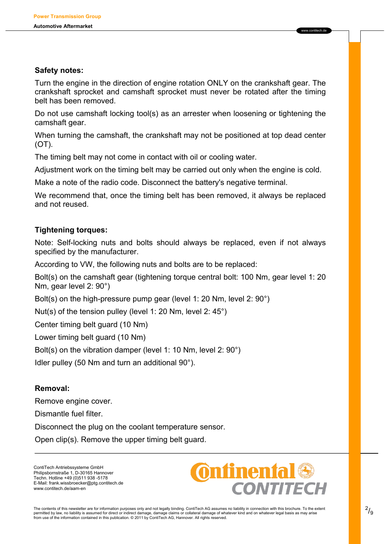#### **Safety notes:**

Turn the engine in the direction of engine rotation ONLY on the crankshaft gear. The crankshaft sprocket and camshaft sprocket must never be rotated after the timing belt has been removed.

www.contitech.de

Do not use camshaft locking tool(s) as an arrester when loosening or tightening the camshaft gear.

When turning the camshaft, the crankshaft may not be positioned at top dead center (OT).

The timing belt may not come in contact with oil or cooling water.

Adjustment work on the timing belt may be carried out only when the engine is cold.

Make a note of the radio code. Disconnect the battery's negative terminal.

We recommend that, once the timing belt has been removed, it always be replaced and not reused.

# **Tightening torques:**

Note: Self-locking nuts and bolts should always be replaced, even if not always specified by the manufacturer.

According to VW, the following nuts and bolts are to be replaced:

Bolt(s) on the camshaft gear (tightening torque central bolt: 100 Nm, gear level 1: 20 Nm, gear level 2: 90°)

Bolt(s) on the high-pressure pump gear (level 1: 20 Nm, level 2: 90°)

Nut(s) of the tension pulley (level 1: 20 Nm, level 2: 45°)

Center timing belt guard (10 Nm)

Lower timing belt guard (10 Nm)

Bolt(s) on the vibration damper (level 1: 10 Nm, level 2: 90°)

Idler pulley (50 Nm and turn an additional 90°).

# **Removal:**

Remove engine cover.

Dismantle fuel filter.

Disconnect the plug on the coolant temperature sensor.

Open clip(s). Remove the upper timing belt guard.

ContiTech Antriebssysteme GmbH Philipsbornstraße 1, D-30165 Hannover Techn. Hotline +49 (0)511 938 -5178 E-Mail: frank.wissbroecker@ptg.contitech.de www.contitech.de/aam-en

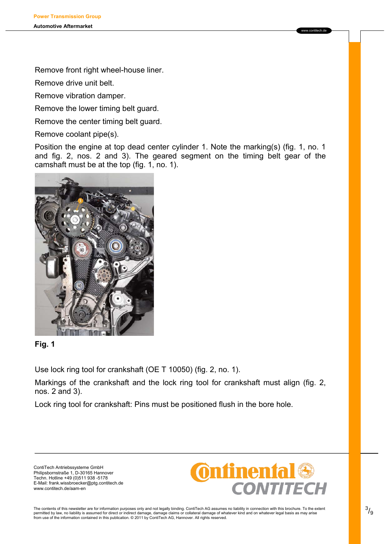Remove front right wheel-house liner.

Remove drive unit belt.

Remove vibration damper.

Remove the lower timing belt guard.

Remove the center timing belt guard.

Remove coolant pipe(s).

Position the engine at top dead center cylinder 1. Note the marking(s) (fig. 1, no. 1 and fig. 2, nos. 2 and 3). The geared segment on the timing belt gear of the camshaft must be at the top (fig. 1, no. 1).



# **Fig. 1**

Use lock ring tool for crankshaft (OE T 10050) (fig. 2, no. 1).

Markings of the crankshaft and the lock ring tool for crankshaft must align (fig. 2, nos. 2 and 3).

Lock ring tool for crankshaft: Pins must be positioned flush in the bore hole.

ContiTech Antriebssysteme GmbH Philipsbornstraße 1, D-30165 Hannover Techn. Hotline +49 (0)511 938 -5178 E-Mail: frank.wissbroecker@ptg.contitech.de www.contitech.de/aam-en

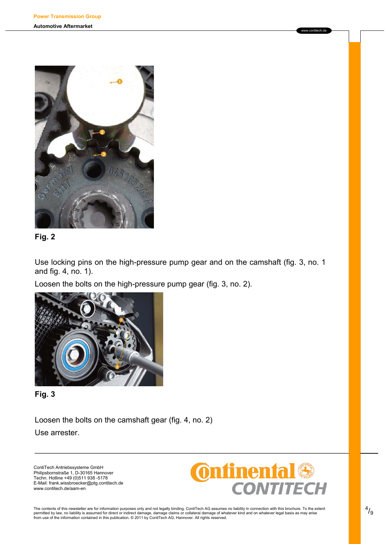



Use locking pins on the high-pressure pump gear and on the camshaft (fig. 3, no. 1 and fig. 4, no. 1).

Loosen the bolts on the high-pressure pump gear (fig. 3, no. 2).





Loosen the bolts on the camshaft gear (fig. 4, no. 2) Use arrester.

ContiTech Antriebssysteme GmbH Philipsbornstraße 1, D-30165 Hannover Techn. Hotline +49 (0)511 938 -5178 E-Mail: frank.wissbroecker@ptg.contitech.de www.contitech.de/aam-en



www.contitech.de

The contents of this newsletter are for information purposes only and not legally binding. ContiTech AG assumes no liability in connection with this brochure. To the extent<br>permitted by law, no liability is assumed for di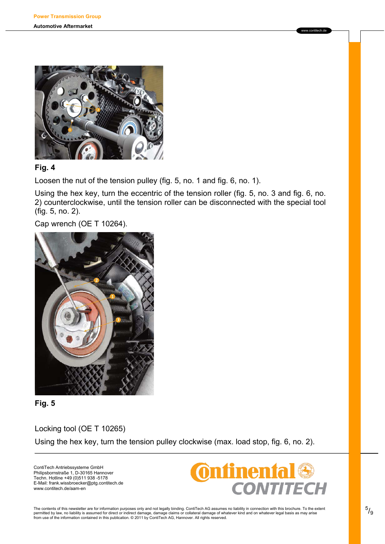

#### **Fig. 4**

Loosen the nut of the tension pulley (fig. 5, no. 1 and fig. 6, no. 1).

Using the hex key, turn the eccentric of the tension roller (fig. 5, no. 3 and fig. 6, no. 2) counterclockwise, until the tension roller can be disconnected with the special tool (fig. 5, no. 2).

Cap wrench (OE T 10264).



#### **Fig. 5**

Locking tool (OE T 10265) Using the hex key, turn the tension pulley clockwise (max. load stop, fig. 6, no. 2).

ContiTech Antriebssysteme GmbH Philipsbornstraße 1, D-30165 Hannover Techn. Hotline +49 (0)511 938 -5178 E-Mail: frank.wissbroecker@ptg.contitech.de www.contitech.de/aam-en



www.contitech.de

The contents of this newsletter are for information purposes only and not legally binding. ContiTech AG assumes no liability in connection with this brochure. To the extent<br>permitted by law, no liability is assumed for dir from use of the information contained in this publication. © 2011 by ContiTech AG, Hannover. All rights reserved.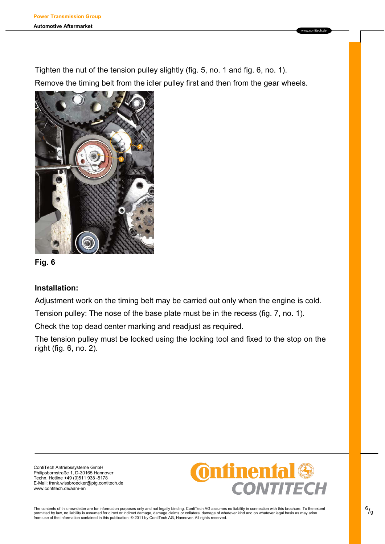Tighten the nut of the tension pulley slightly (fig. 5, no. 1 and fig. 6, no. 1). Remove the timing belt from the idler pulley first and then from the gear wheels.





# **Installation:**

Adjustment work on the timing belt may be carried out only when the engine is cold.

Tension pulley: The nose of the base plate must be in the recess (fig. 7, no. 1).

Check the top dead center marking and readjust as required.

The tension pulley must be locked using the locking tool and fixed to the stop on the right (fig. 6, no. 2).

ContiTech Antriebssysteme GmbH Philipsbornstraße 1, D-30165 Hannover Techn. Hotline +49 (0)511 938 -5178 E-Mail: frank.wissbroecker@ptg.contitech.de www.contitech.de/aam-en

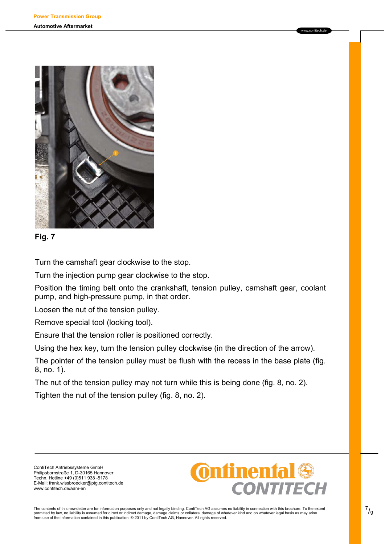



Turn the camshaft gear clockwise to the stop.

Turn the injection pump gear clockwise to the stop.

Position the timing belt onto the crankshaft, tension pulley, camshaft gear, coolant pump, and high-pressure pump, in that order.

Loosen the nut of the tension pulley.

Remove special tool (locking tool).

Ensure that the tension roller is positioned correctly.

Using the hex key, turn the tension pulley clockwise (in the direction of the arrow).

The pointer of the tension pulley must be flush with the recess in the base plate (fig. 8, no. 1).

The nut of the tension pulley may not turn while this is being done (fig. 8, no. 2).

Tighten the nut of the tension pulley (fig. 8, no. 2).

ContiTech Antriebssysteme GmbH Philipsbornstraße 1, D-30165 Hannover Techn. Hotline +49 (0)511 938 -5178 E-Mail: frank.wissbroecker@ptg.contitech.de www.contitech.de/aam-en

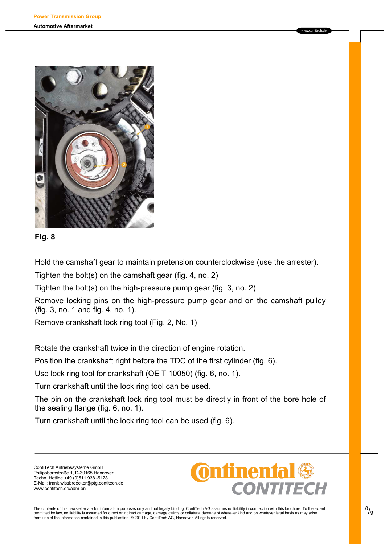

**Fig. 8** 

Hold the camshaft gear to maintain pretension counterclockwise (use the arrester).

Tighten the bolt(s) on the camshaft gear (fig. 4, no. 2)

Tighten the bolt(s) on the high-pressure pump gear (fig. 3, no. 2)

Remove locking pins on the high-pressure pump gear and on the camshaft pulley (fig. 3, no. 1 and fig. 4, no. 1).

Remove crankshaft lock ring tool (Fig. 2, No. 1)

Rotate the crankshaft twice in the direction of engine rotation.

Position the crankshaft right before the TDC of the first cylinder (fig. 6).

Use lock ring tool for crankshaft (OE T 10050) (fig. 6, no. 1).

Turn crankshaft until the lock ring tool can be used.

The pin on the crankshaft lock ring tool must be directly in front of the bore hole of the sealing flange (fig. 6, no. 1).

Turn crankshaft until the lock ring tool can be used (fig. 6).

ContiTech Antriebssysteme GmbH Philipsbornstraße 1, D-30165 Hannover Techn. Hotline +49 (0)511 938 -5178 E-Mail: frank.wissbroecker@ptg.contitech.de www.contitech.de/aam-en